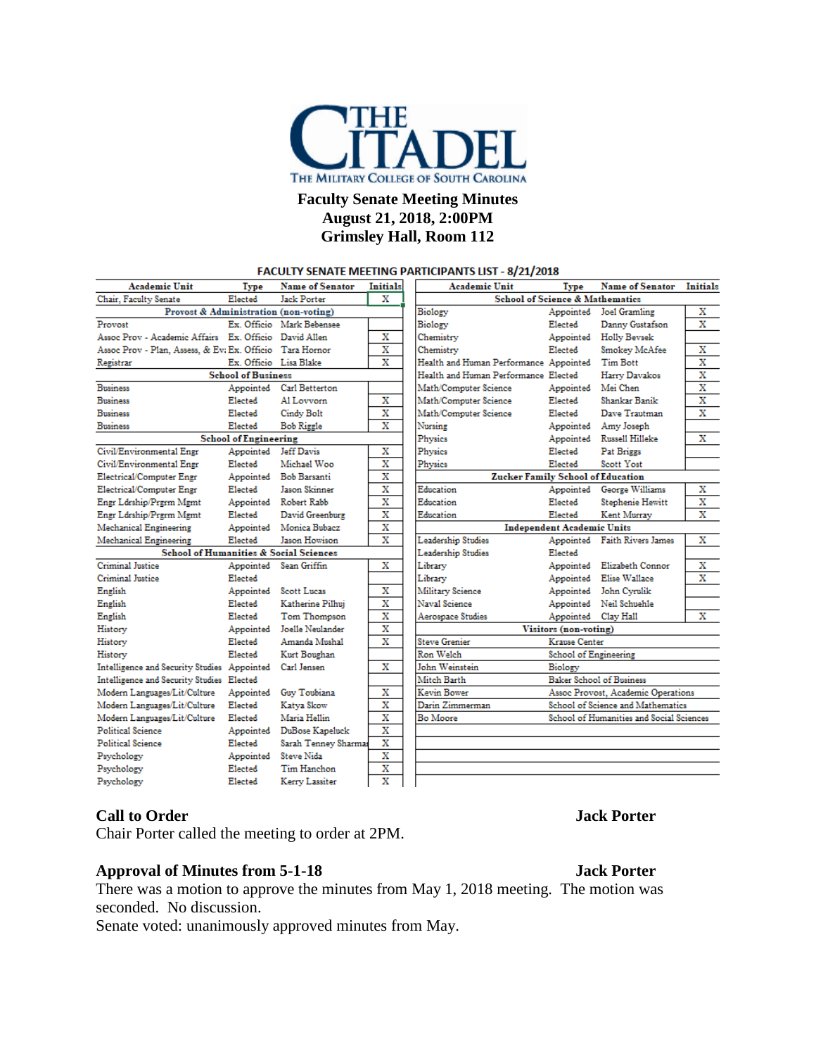

## **Faculty Senate Meeting Minutes August 21, 2018, 2:00PM Grimsley Hall, Room 112**

#### **FACULTY SENATE MEETING PARTICIPANTS LIST - 8/21/2018**

| <b>Academic Unit</b>                                     | Type      | <b>Name of Senator</b>    | Initials                | Academic Unit                            | Type                                       | <b>Name of Senator</b>       | Initials                |
|----------------------------------------------------------|-----------|---------------------------|-------------------------|------------------------------------------|--------------------------------------------|------------------------------|-------------------------|
| Chair, Faculty Senate<br>Elected<br>Jack Porter          |           |                           | X                       |                                          | <b>School of Science &amp; Mathematics</b> |                              |                         |
| Provost & Administration (non-voting)                    |           |                           |                         | Biology                                  | Appointed                                  | Joel Gramling                | x                       |
| Provost                                                  |           | Ex. Officio Mark Bebensee |                         | Biology                                  | Elected                                    | Danny Gustafson              | x                       |
| Assoc Prov - Academic Affairs Ex. Officio David Allen    |           |                           | х                       | Chemistry                                | Appointed                                  | Holly Beysek                 |                         |
| Assoc Prov - Plan. Assess. & Ev: Ex. Officio Tara Hornor |           |                           | X                       | Chemistry                                | Elected                                    | <b>Smokey McAfee</b>         | х                       |
| Registrar                                                |           | Ex. Officio Lisa Blake    | X                       | Health and Human Performance Appointed   |                                            | <b>Tim Bott</b>              | x                       |
| <b>School of Business</b>                                |           |                           |                         | Health and Human Performance Elected     |                                            | Harry Davakos                | х                       |
| <b>Business</b>                                          | Appointed | Carl Betterton            |                         | Math/Computer Science                    | Appointed                                  | Mei Chen                     | x                       |
| <b>Business</b>                                          | Elected   | Al Lovvom                 | х                       | Math/Computer Science                    | Elected                                    | Shankar Banik                | $\overline{\mathbf{x}}$ |
| <b>Business</b>                                          | Elected   | Cindy Bolt                | x                       | Math/Computer Science                    | Elected                                    | Dave Trautman                | $\overline{\mathbf{x}}$ |
| <b>Business</b>                                          | Elected   | <b>Bob Riggle</b>         | $\overline{\mathbf{x}}$ | Nursing                                  |                                            | Appointed Amy Joseph         |                         |
| <b>School of Engineering</b>                             |           |                           |                         | Physics                                  |                                            | Appointed Russell Hilleke    | х                       |
| Civil/Environmental Engr                                 | Appointed | <b>Jeff Davis</b>         | х                       | Physics                                  | Elected                                    | Pat Briggs                   |                         |
| Civil/Environmental Engr                                 | Elected   | Michael Woo               | x                       | Physics                                  | Elected                                    | Scott Yost                   |                         |
| Electrical/Computer Engr                                 | Appointed | Bob Barsanti              | x                       | <b>Zucker Family School of Education</b> |                                            |                              |                         |
| Electrical/Computer Engr                                 | Elected   | <b>Tason Skinner</b>      | X                       | Education                                | Appointed                                  | George Williams              | х                       |
| Engr Ldrship/Prgrm Mgmt                                  |           | Appointed Robert Rabb     | X                       | Education                                | Elected                                    | Stephenie Hewitt             | x                       |
| Engr Ldrship/Prgrm Mgmt                                  | Elected   | David Greenburg           | $\overline{\mathbf{x}}$ | Education                                | Elected                                    | Kent Murrav                  | x                       |
| Mechanical Engineering                                   |           | Appointed Monica Bubacz   | x                       |                                          | <b>Independent Academic Units</b>          |                              |                         |
| Mechanical Engineering                                   | Elected   | Jason Howison             | Х                       | Leadership Studies                       |                                            | Appointed Faith Rivers James | х                       |
| <b>School of Humanities &amp; Social Sciences</b>        |           |                           |                         | Leadership Studies                       | Elected                                    |                              |                         |
| Criminal Justice                                         |           | Appointed Sean Griffin    | х                       | Library                                  |                                            | Appointed Elizabeth Connor   | х                       |
| Criminal Justice                                         | Elected   |                           |                         | Librarv                                  |                                            | Appointed Elise Wallace      | $\overline{\mathbf{x}}$ |
| English                                                  | Appointed | <b>Scott Lucas</b>        | x                       | Military Science                         |                                            | Appointed John Cyrulik       |                         |
| English                                                  | Elected   | Katherine Pilhui          | X                       | Naval Science                            |                                            | Appointed Neil Schuehle      |                         |
| English                                                  | Elected   | Tom Thompson              | $\overline{\mathbf{x}}$ | Aerospace Studies                        | Appointed Clay Hall                        |                              | x                       |
| History                                                  | Appointed | Joelle Neulander          | x                       |                                          | Visitors (non-voting)                      |                              |                         |
| History                                                  | Elected   | Amanda Mushal             | $\overline{\mathbf{x}}$ | <b>Steve Grenier</b>                     | Krause Center                              |                              |                         |
| History                                                  | Elected   | Kurt Boughan              |                         | Ron Welch                                | <b>School of Engineering</b>               |                              |                         |
| Intelligence and Security Studies Appointed              |           | Carl Jensen               | Х                       | John Weinstein                           | Biology                                    |                              |                         |
| Intelligence and Security Studies Elected                |           |                           |                         | Mitch Barth                              | <b>Baker School of Business</b>            |                              |                         |
| Modern Languages/Lit/Culture                             | Appointed | Guy Toubiana              | x                       | Kevin Bower                              | Assoc Provost, Academic Operations         |                              |                         |
| Modern Languages/Lit/Culture                             | Elected   | Katva Skow                | $\overline{\mathbf{x}}$ | Darin Zimmerman                          | School of Science and Mathematics          |                              |                         |
| Modern Languages/Lit/Culture                             | Elected   | Maria Hellin              | $\overline{\mathbf{x}}$ | Bo Moore                                 | School of Humanities and Social Sciences   |                              |                         |
| Political Science                                        |           | Appointed DuBose Kapeluck | X                       |                                          |                                            |                              |                         |
| Political Science                                        | Elected   | Sarah Tenney Sharmas      | $\overline{\mathbf{x}}$ |                                          |                                            |                              |                         |
| Psychology                                               | Appointed | Steve Nida                | х                       |                                          |                                            |                              |                         |
| Psychology                                               | Elected   | Tim Hanchon               | x                       |                                          |                                            |                              |                         |
| Psychology                                               | Elected   | Kerry Lassiter            | $\overline{\mathbf{x}}$ |                                          |                                            |                              |                         |

#### **Call to Order Jack Porter**

Chair Porter called the meeting to order at 2PM.

#### **Approval of Minutes from 5-1-18 Jack Porter**

There was a motion to approve the minutes from May 1, 2018 meeting. The motion was seconded. No discussion.

Senate voted: unanimously approved minutes from May.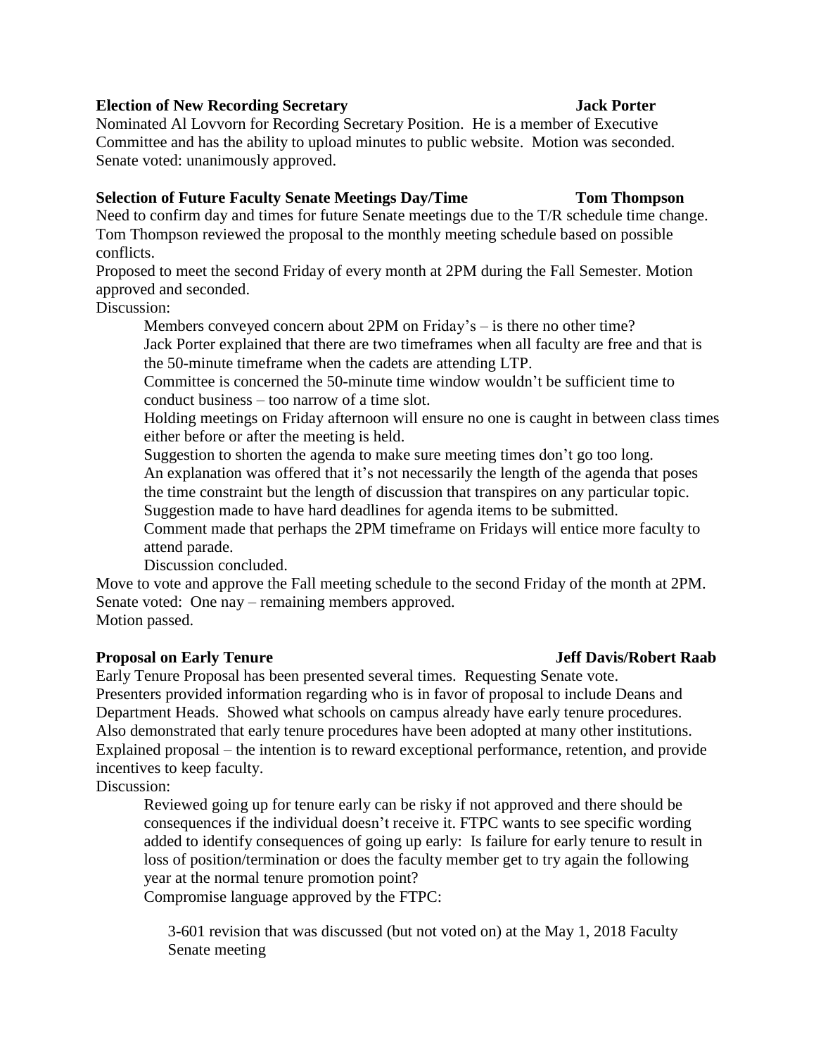### **Election of New Recording Secretary Jack Porter**

Nominated Al Lovvorn for Recording Secretary Position. He is a member of Executive Committee and has the ability to upload minutes to public website. Motion was seconded. Senate voted: unanimously approved.

### **Selection of Future Faculty Senate Meetings Day/Time Tom Thompson**

Need to confirm day and times for future Senate meetings due to the T/R schedule time change. Tom Thompson reviewed the proposal to the monthly meeting schedule based on possible conflicts.

Proposed to meet the second Friday of every month at 2PM during the Fall Semester. Motion approved and seconded.

## Discussion:

Members conveyed concern about 2PM on Friday's – is there no other time? Jack Porter explained that there are two timeframes when all faculty are free and that is the 50-minute timeframe when the cadets are attending LTP.

Committee is concerned the 50-minute time window wouldn't be sufficient time to conduct business – too narrow of a time slot.

Holding meetings on Friday afternoon will ensure no one is caught in between class times either before or after the meeting is held.

Suggestion to shorten the agenda to make sure meeting times don't go too long. An explanation was offered that it's not necessarily the length of the agenda that poses the time constraint but the length of discussion that transpires on any particular topic. Suggestion made to have hard deadlines for agenda items to be submitted.

Comment made that perhaps the 2PM timeframe on Fridays will entice more faculty to attend parade.

Discussion concluded.

Move to vote and approve the Fall meeting schedule to the second Friday of the month at 2PM. Senate voted: One nay – remaining members approved. Motion passed.

## **Proposal on Early Tenure Jeff Davis/Robert Raab**

Early Tenure Proposal has been presented several times. Requesting Senate vote. Presenters provided information regarding who is in favor of proposal to include Deans and Department Heads. Showed what schools on campus already have early tenure procedures. Also demonstrated that early tenure procedures have been adopted at many other institutions. Explained proposal – the intention is to reward exceptional performance, retention, and provide incentives to keep faculty.

Discussion:

Reviewed going up for tenure early can be risky if not approved and there should be consequences if the individual doesn't receive it. FTPC wants to see specific wording added to identify consequences of going up early: Is failure for early tenure to result in loss of position/termination or does the faculty member get to try again the following year at the normal tenure promotion point?

Compromise language approved by the FTPC:

3-601 revision that was discussed (but not voted on) at the May 1, 2018 Faculty Senate meeting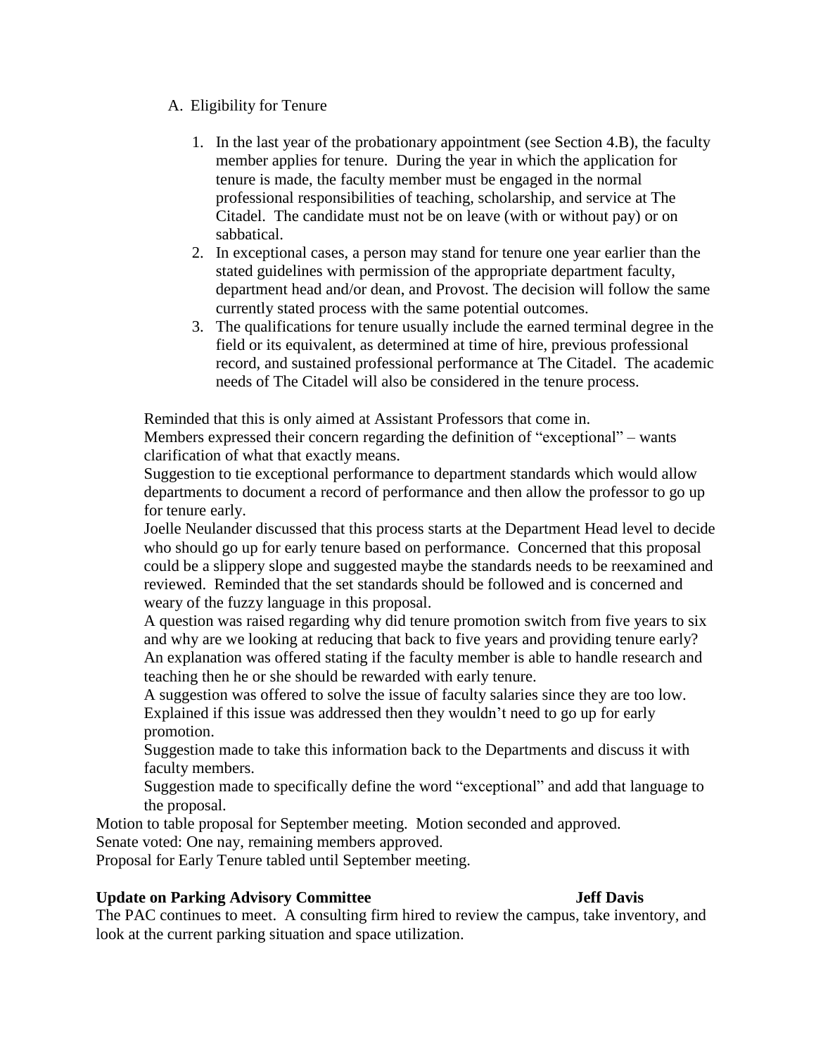### A. Eligibility for Tenure

- 1. In the last year of the probationary appointment (see Section 4.B), the faculty member applies for tenure. During the year in which the application for tenure is made, the faculty member must be engaged in the normal professional responsibilities of teaching, scholarship, and service at The Citadel. The candidate must not be on leave (with or without pay) or on sabbatical.
- 2. In exceptional cases, a person may stand for tenure one year earlier than the stated guidelines with permission of the appropriate department faculty, department head and/or dean, and Provost. The decision will follow the same currently stated process with the same potential outcomes.
- 3. The qualifications for tenure usually include the earned terminal degree in the field or its equivalent, as determined at time of hire, previous professional record, and sustained professional performance at The Citadel. The academic needs of The Citadel will also be considered in the tenure process.

Reminded that this is only aimed at Assistant Professors that come in.

Members expressed their concern regarding the definition of "exceptional" – wants clarification of what that exactly means.

Suggestion to tie exceptional performance to department standards which would allow departments to document a record of performance and then allow the professor to go up for tenure early.

Joelle Neulander discussed that this process starts at the Department Head level to decide who should go up for early tenure based on performance. Concerned that this proposal could be a slippery slope and suggested maybe the standards needs to be reexamined and reviewed. Reminded that the set standards should be followed and is concerned and weary of the fuzzy language in this proposal.

A question was raised regarding why did tenure promotion switch from five years to six and why are we looking at reducing that back to five years and providing tenure early? An explanation was offered stating if the faculty member is able to handle research and teaching then he or she should be rewarded with early tenure.

A suggestion was offered to solve the issue of faculty salaries since they are too low. Explained if this issue was addressed then they wouldn't need to go up for early promotion.

Suggestion made to take this information back to the Departments and discuss it with faculty members.

Suggestion made to specifically define the word "exceptional" and add that language to the proposal.

Motion to table proposal for September meeting. Motion seconded and approved.

Senate voted: One nay, remaining members approved.

Proposal for Early Tenure tabled until September meeting.

### **Update on Parking Advisory Committee Jeff Davis**

The PAC continues to meet. A consulting firm hired to review the campus, take inventory, and look at the current parking situation and space utilization.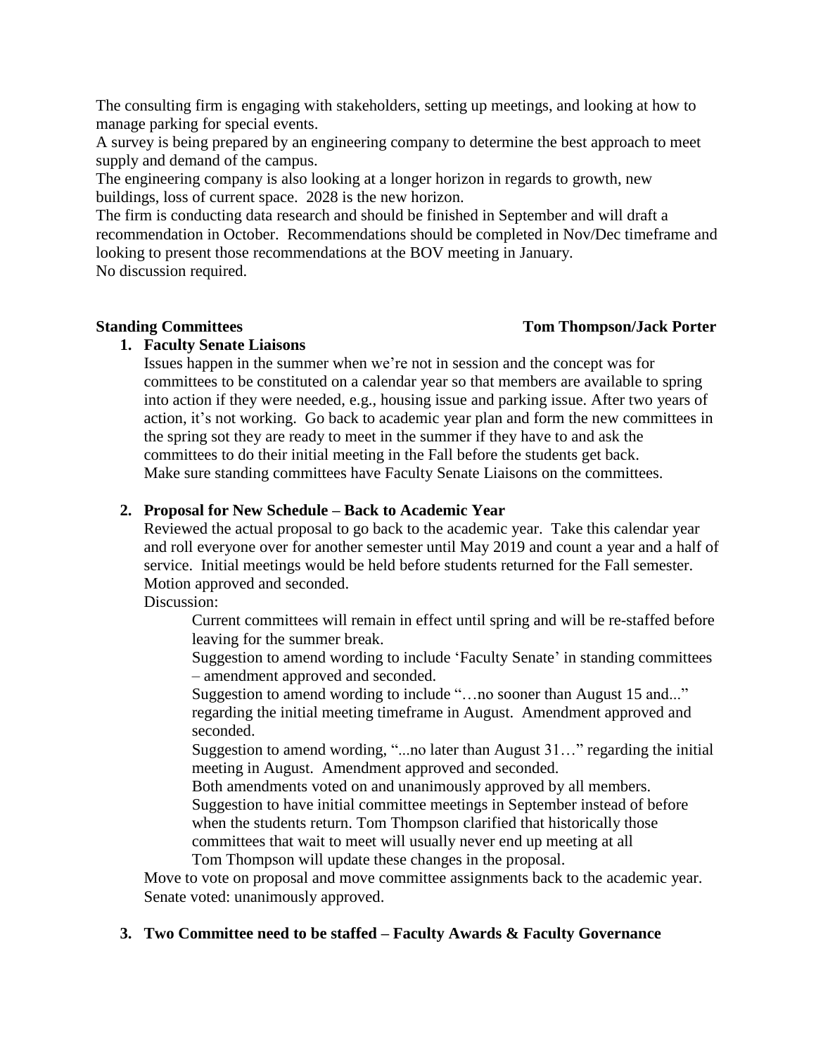The consulting firm is engaging with stakeholders, setting up meetings, and looking at how to manage parking for special events.

A survey is being prepared by an engineering company to determine the best approach to meet supply and demand of the campus.

The engineering company is also looking at a longer horizon in regards to growth, new buildings, loss of current space. 2028 is the new horizon.

The firm is conducting data research and should be finished in September and will draft a recommendation in October. Recommendations should be completed in Nov/Dec timeframe and looking to present those recommendations at the BOV meeting in January. No discussion required.

### **Standing Committees Tom Tom Thompson/Jack Porter**

## **1. Faculty Senate Liaisons**

Issues happen in the summer when we're not in session and the concept was for committees to be constituted on a calendar year so that members are available to spring into action if they were needed, e.g., housing issue and parking issue. After two years of action, it's not working. Go back to academic year plan and form the new committees in the spring sot they are ready to meet in the summer if they have to and ask the committees to do their initial meeting in the Fall before the students get back. Make sure standing committees have Faculty Senate Liaisons on the committees.

## **2. Proposal for New Schedule – Back to Academic Year**

Reviewed the actual proposal to go back to the academic year. Take this calendar year and roll everyone over for another semester until May 2019 and count a year and a half of service. Initial meetings would be held before students returned for the Fall semester. Motion approved and seconded.

Discussion:

Current committees will remain in effect until spring and will be re-staffed before leaving for the summer break.

Suggestion to amend wording to include 'Faculty Senate' in standing committees – amendment approved and seconded.

Suggestion to amend wording to include "…no sooner than August 15 and..." regarding the initial meeting timeframe in August. Amendment approved and seconded.

Suggestion to amend wording, "...no later than August 31…" regarding the initial meeting in August. Amendment approved and seconded.

Both amendments voted on and unanimously approved by all members. Suggestion to have initial committee meetings in September instead of before when the students return. Tom Thompson clarified that historically those committees that wait to meet will usually never end up meeting at all Tom Thompson will update these changes in the proposal.

Move to vote on proposal and move committee assignments back to the academic year. Senate voted: unanimously approved.

## **3. Two Committee need to be staffed – Faculty Awards & Faculty Governance**